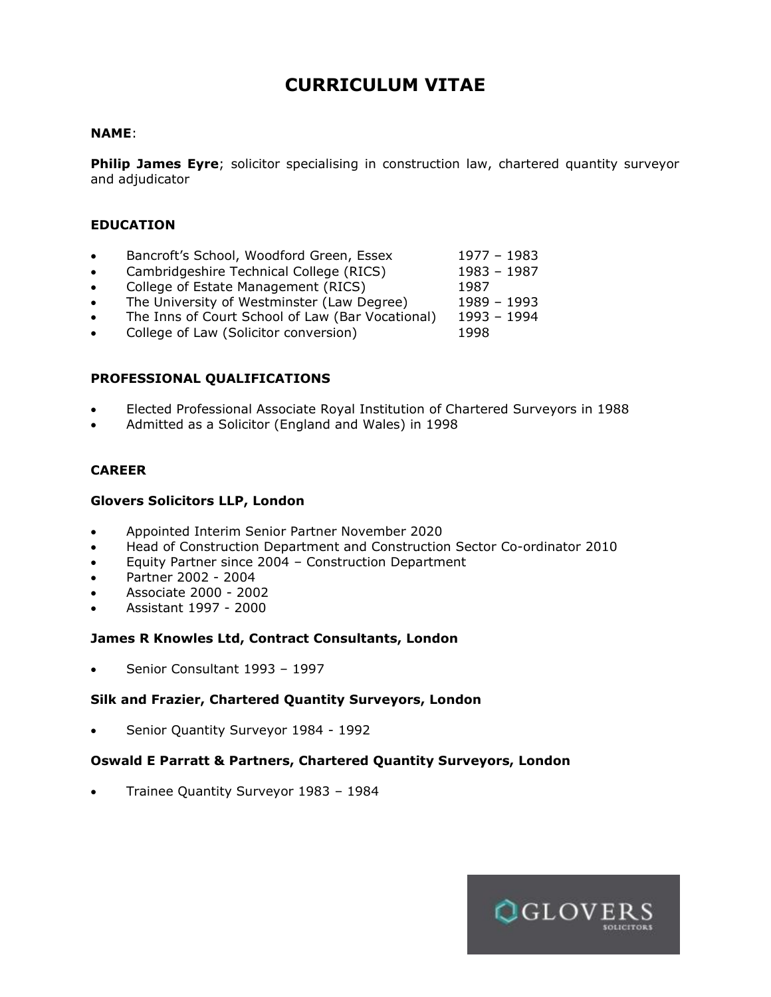# **CURRICULUM VITAE**

#### **NAME**:

**Philip James Eyre**; solicitor specialising in construction law, chartered quantity surveyor and adjudicator

#### **EDUCATION**

- Bancroft's School, Woodford Green, Essex 1977 1983
- Cambridgeshire Technical College (RICS) 1983 1987
- College of Estate Management (RICS) 1987
- The University of Westminster (Law Degree) 1989 1993
- The Inns of Court School of Law (Bar Vocational) 1993 1994
- College of Law (Solicitor conversion) 1998

#### **PROFESSIONAL QUALIFICATIONS**

- Elected Professional Associate Royal Institution of Chartered Surveyors in 1988
- Admitted as a Solicitor (England and Wales) in 1998

#### **CAREER**

#### **Glovers Solicitors LLP, London**

- Appointed Interim Senior Partner November 2020
- Head of Construction Department and Construction Sector Co-ordinator 2010
- Equity Partner since 2004 Construction Department
- Partner 2002 2004
- Associate 2000 2002
- Assistant 1997 2000

# **James R Knowles Ltd, Contract Consultants, London**

• Senior Consultant 1993 – 1997

# **Silk and Frazier, Chartered Quantity Surveyors, London**

• Senior Quantity Surveyor 1984 - 1992

# **Oswald E Parratt & Partners, Chartered Quantity Surveyors, London**

• Trainee Quantity Surveyor 1983 – 1984

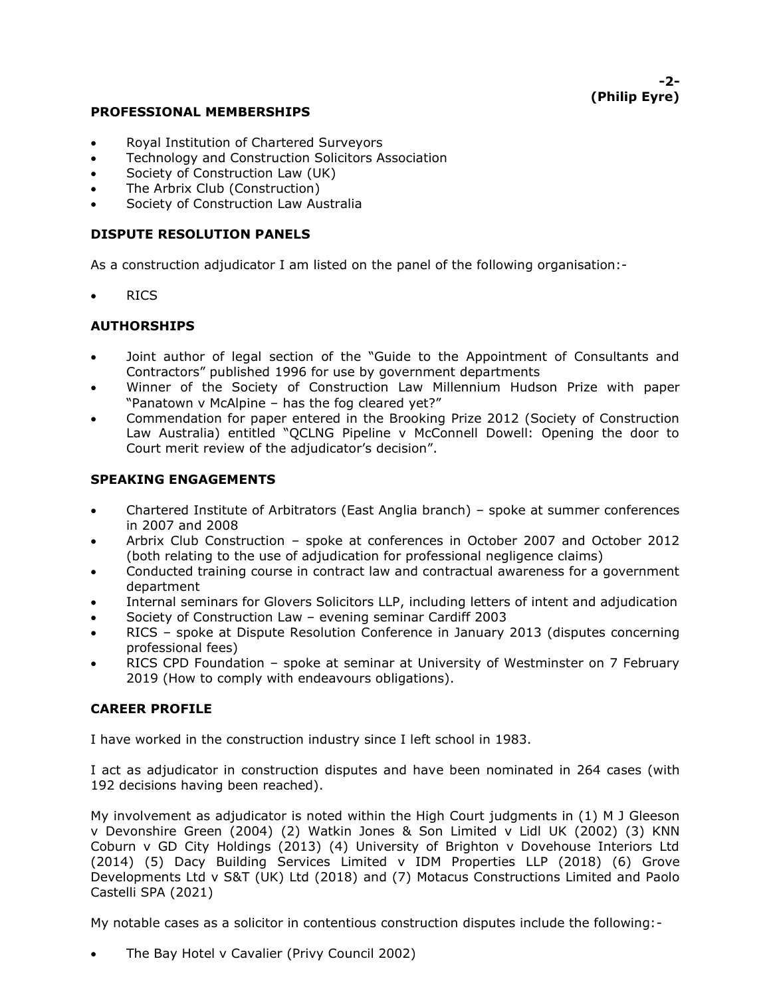# **-2- (Philip Eyre)**

#### **PROFESSIONAL MEMBERSHIPS**

- Royal Institution of Chartered Surveyors
- Technology and Construction Solicitors Association
- Society of Construction Law (UK)
- The Arbrix Club (Construction)
- Society of Construction Law Australia

# **DISPUTE RESOLUTION PANELS**

As a construction adjudicator I am listed on the panel of the following organisation:-

• RICS

# **AUTHORSHIPS**

- Joint author of legal section of the "Guide to the Appointment of Consultants and Contractors" published 1996 for use by government departments
- Winner of the Society of Construction Law Millennium Hudson Prize with paper "Panatown v McAlpine – has the fog cleared yet?"
- Commendation for paper entered in the Brooking Prize 2012 (Society of Construction Law Australia) entitled "QCLNG Pipeline v McConnell Dowell: Opening the door to Court merit review of the adjudicator's decision".

# **SPEAKING ENGAGEMENTS**

- Chartered Institute of Arbitrators (East Anglia branch) spoke at summer conferences in 2007 and 2008
- Arbrix Club Construction spoke at conferences in October 2007 and October 2012 (both relating to the use of adjudication for professional negligence claims)
- Conducted training course in contract law and contractual awareness for a government department
- Internal seminars for Glovers Solicitors LLP, including letters of intent and adjudication
- Society of Construction Law evening seminar Cardiff 2003
- RICS spoke at Dispute Resolution Conference in January 2013 (disputes concerning professional fees)
- RICS CPD Foundation spoke at seminar at University of Westminster on 7 February 2019 (How to comply with endeavours obligations).

# **CAREER PROFILE**

I have worked in the construction industry since I left school in 1983.

I act as adjudicator in construction disputes and have been nominated in 264 cases (with 192 decisions having been reached).

My involvement as adjudicator is noted within the High Court judgments in (1) M J Gleeson v Devonshire Green (2004) (2) Watkin Jones & Son Limited v Lidl UK (2002) (3) KNN Coburn v GD City Holdings (2013) (4) University of Brighton v Dovehouse Interiors Ltd (2014) (5) Dacy Building Services Limited v IDM Properties LLP (2018) (6) Grove Developments Ltd v S&T (UK) Ltd (2018) and (7) Motacus Constructions Limited and Paolo Castelli SPA (2021)

My notable cases as a solicitor in contentious construction disputes include the following:-

• The Bay Hotel v Cavalier (Privy Council 2002)